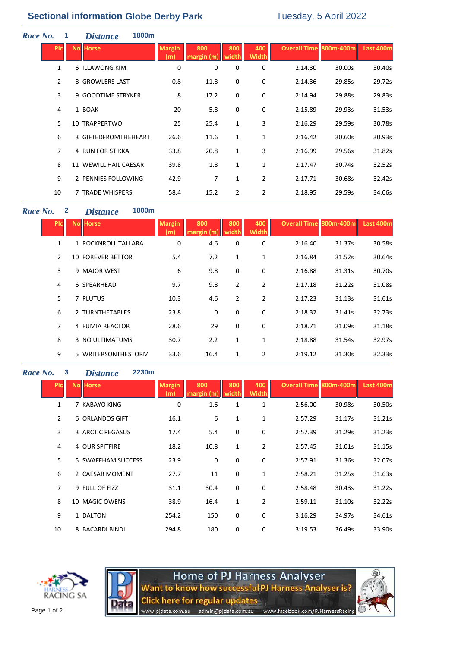# **Sectional information Globe Derby Park** Tuesday, 5 April 2022

| Race No. |                | 1 | <i>Distance</i>         | 1800m |                      |                   |                |                     |                               |        |           |
|----------|----------------|---|-------------------------|-------|----------------------|-------------------|----------------|---------------------|-------------------------------|--------|-----------|
|          | <b>PIC</b>     |   | <b>No Horse</b>         |       | <b>Margin</b><br>(m) | 800<br>margin (m) | 800<br>width   | 400<br><b>Width</b> | <b>Overall Time 800m-400m</b> |        | Last 400m |
|          | $\mathbf{1}$   |   | 6 ILLAWONG KIM          |       | 0                    | 0                 | 0              | 0                   | 2:14.30                       | 30.00s | 30.40s    |
|          | $\overline{2}$ |   | 8 GROWLERS LAST         |       | 0.8                  | 11.8              | 0              | $\mathbf 0$         | 2:14.36                       | 29.85s | 29.72s    |
|          | 3              |   | 9 GOODTIME STRYKER      |       | 8                    | 17.2              | 0              | $\mathbf 0$         | 2:14.94                       | 29.88s | 29.83s    |
|          | 4              |   | 1 BOAK                  |       | 20                   | 5.8               | 0              | $\mathbf 0$         | 2:15.89                       | 29.93s | 31.53s    |
|          | 5              |   | 10 TRAPPERTWO           |       | 25                   | 25.4              | 1              | 3                   | 2:16.29                       | 29.59s | 30.78s    |
|          | 6              |   | 3 GIFTEDFROMTHEHEART    |       | 26.6                 | 11.6              | 1              | 1                   | 2:16.42                       | 30.60s | 30.93s    |
|          | $\overline{7}$ |   | <b>4 RUN FOR STIKKA</b> |       | 33.8                 | 20.8              | $\mathbf{1}$   | 3                   | 2:16.99                       | 29.56s | 31.82s    |
|          | 8              |   | 11 WEWILL HAIL CAESAR   |       | 39.8                 | 1.8               | 1              | 1                   | 2:17.47                       | 30.74s | 32.52s    |
|          | 9              |   | 2 PENNIES FOLLOWING     |       | 42.9                 | 7                 | $\mathbf{1}$   | $\overline{2}$      | 2:17.71                       | 30.68s | 32.42s    |
|          | 10             |   | 7 TRADE WHISPERS        |       | 58.4                 | 15.2              | $\overline{2}$ | 2                   | 2:18.95                       | 29.59s | 34.06s    |

## *Race No.* **2** *Distance* **1800m**

| <b>PIC</b>     | <b>No Horse</b>          | <b>Margin</b><br>(m) | 800<br>margin (m | 800<br>width | 400<br>Width   | <b>Overall Time 800m-400m</b> |        | Last 400m |
|----------------|--------------------------|----------------------|------------------|--------------|----------------|-------------------------------|--------|-----------|
|                | 1 ROCKNROLL TALLARA      | 0                    | 4.6              | 0            | 0              | 2:16.40                       | 31.37s | 30.58s    |
| $\mathcal{P}$  | <b>10 FOREVER BETTOR</b> | 5.4                  | 7.2              | 1            | 1              | 2:16.84                       | 31.52s | 30.64s    |
| 3              | 9 MAJOR WEST             | 6                    | 9.8              | 0            | 0              | 2:16.88                       | 31.31s | 30.70s    |
| 4              | 6 SPEARHEAD              | 9.7                  | 9.8              | 2            | $\overline{2}$ | 2:17.18                       | 31.22s | 31.08s    |
| 5              | 7 PLUTUS                 | 10.3                 | 4.6              | 2            | $\overline{2}$ | 2:17.23                       | 31.13s | 31.61s    |
| 6              | 2 TURNTHETABLES          | 23.8                 | 0                | 0            | 0              | 2:18.32                       | 31.41s | 32.73s    |
| $\overline{7}$ | 4 FUMIA REACTOR          | 28.6                 | 29               | 0            | 0              | 2:18.71                       | 31.09s | 31.18s    |
| 8              | 3 NO ULTIMATUMS          | 30.7                 | 2.2              | 1            | 1              | 2:18.88                       | 31.54s | 32.97s    |
| 9              | 5 WRITERSONTHESTORM      | 33.6                 | 16.4             | 1            | 2              | 2:19.12                       | 31.30s | 32.33s    |

### *Race No.* **3** *Distance* **2230m**

| <b>PIC</b> | <b>No Horse</b>    | <b>Margin</b><br>(m) | 800<br>margin | 800<br>width | 400<br>Width   | Overall Time 800m-400m |        | <b>Last 400m</b> |
|------------|--------------------|----------------------|---------------|--------------|----------------|------------------------|--------|------------------|
| 1          | 7 KABAYO KING      | 0                    | 1.6           | 1            | $\mathbf{1}$   | 2:56.00                | 30.98s | 30.50s           |
| 2          | 6 ORLANDOS GIFT    | 16.1                 | 6             | 1            | 1              | 2:57.29                | 31.17s | 31.21s           |
| 3          | 3 ARCTIC PEGASUS   | 17.4                 | 5.4           | 0            | 0              | 2:57.39                | 31.29s | 31.23s           |
| 4          | 4 OUR SPITFIRE     | 18.2                 | 10.8          | 1            | 2              | 2:57.45                | 31.01s | 31.15s           |
| 5          | 5 SWAFFHAM SUCCESS | 23.9                 | 0             | 0            | $\mathbf 0$    | 2:57.91                | 31.36s | 32.07s           |
| 6          | 2 CAESAR MOMENT    | 27.7                 | 11            | $\mathbf 0$  | $\mathbf{1}$   | 2:58.21                | 31.25s | 31.63s           |
| 7          | 9 FULL OF FIZZ     | 31.1                 | 30.4          | $\mathbf 0$  | 0              | 2:58.48                | 30.43s | 31.22s           |
| 8          | 10 MAGIC OWENS     | 38.9                 | 16.4          | $\mathbf{1}$ | $\overline{2}$ | 2:59.11                | 31.10s | 32.22s           |
| 9          | 1 DALTON           | 254.2                | 150           | $\mathbf 0$  | $\mathbf 0$    | 3:16.29                | 34.97s | 34.61s           |
| 10         | 8 BACARDI BINDI    | 294.8                | 180           | 0            | 0              | 3:19.53                | 36.49s | 33.90s           |





**Home of PJ Harness Analyser<br>Want to know how successful PJ Harness Analyser is?<br>Click here for regular updates**<br>www.pjdata.com.au admin@pjdata.com.au www.facebook.com/PJHarnessRacing